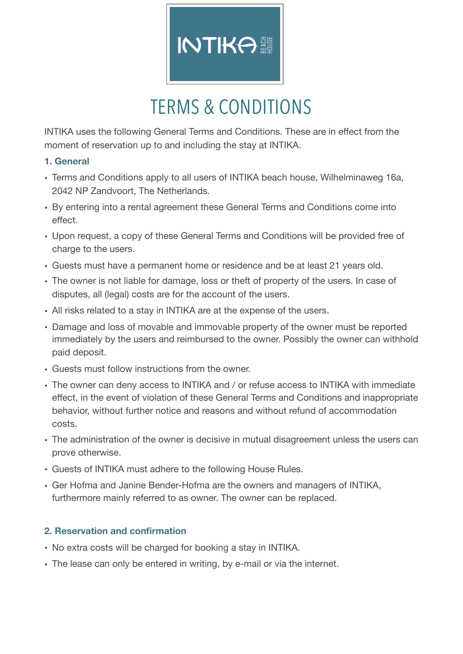

## TERMS & CONDITIONS

INTIKA uses the following General Terms and Conditions. These are in effect from the moment of reservation up to and including the stay at INTIKA.

### **1. General**

- Terms and Conditions apply to all users of INTIKA beach house, Wilhelminaweg 16a, 2042 NP Zandvoort, The Netherlands.
- By entering into a rental agreement these General Terms and Conditions come into effect.
- Upon request, a copy of these General Terms and Conditions will be provided free of charge to the users.
- Guests must have a permanent home or residence and be at least 21 years old.
- The owner is not liable for damage, loss or theft of property of the users. In case of disputes, all (legal) costs are for the account of the users.
- All risks related to a stay in INTIKA are at the expense of the users.
- Damage and loss of movable and immovable property of the owner must be reported immediately by the users and reimbursed to the owner. Possibly the owner can withhold paid deposit.
- Guests must follow instructions from the owner.
- The owner can deny access to INTIKA and / or refuse access to INTIKA with immediate effect, in the event of violation of these General Terms and Conditions and inappropriate behavior, without further notice and reasons and without refund of accommodation costs.
- The administration of the owner is decisive in mutual disagreement unless the users can prove otherwise.
- Guests of INTIKA must adhere to the following House Rules.
- Ger Hofma and Janine Bender-Hofma are the owners and managers of INTIKA, furthermore mainly referred to as owner. The owner can be replaced.

## **2. Reservation and confirmation**

- No extra costs will be charged for booking a stay in INTIKA.
- The lease can only be entered in writing, by e-mail or via the internet.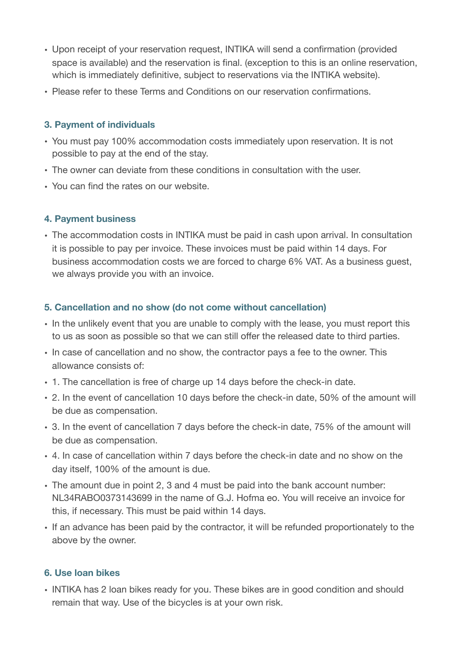- Upon receipt of your reservation request, INTIKA will send a confirmation (provided space is available) and the reservation is final. (exception to this is an online reservation, which is immediately definitive, subject to reservations via the INTIKA website).
- Please refer to these Terms and Conditions on our reservation confirmations.

#### **3. Payment of individuals**

- You must pay 100% accommodation costs immediately upon reservation. It is not possible to pay at the end of the stay.
- The owner can deviate from these conditions in consultation with the user.
- You can find the rates on our website.

### **4. Payment business**

• The accommodation costs in INTIKA must be paid in cash upon arrival. In consultation it is possible to pay per invoice. These invoices must be paid within 14 days. For business accommodation costs we are forced to charge 6% VAT. As a business guest, we always provide you with an invoice.

## **5. Cancellation and no show (do not come without cancellation)**

- In the unlikely event that you are unable to comply with the lease, you must report this to us as soon as possible so that we can still offer the released date to third parties.
- In case of cancellation and no show, the contractor pays a fee to the owner. This allowance consists of:
- 1. The cancellation is free of charge up 14 days before the check-in date.
- 2. In the event of cancellation 10 days before the check-in date, 50% of the amount will be due as compensation.
- 3. In the event of cancellation 7 days before the check-in date, 75% of the amount will be due as compensation.
- 4. In case of cancellation within 7 days before the check-in date and no show on the day itself, 100% of the amount is due.
- The amount due in point 2, 3 and 4 must be paid into the bank account number: NL34RABO0373143699 in the name of G.J. Hofma eo. You will receive an invoice for this, if necessary. This must be paid within 14 days.
- If an advance has been paid by the contractor, it will be refunded proportionately to the above by the owner.

## **6. Use loan bikes**

• INTIKA has 2 loan bikes ready for you. These bikes are in good condition and should remain that way. Use of the bicycles is at your own risk.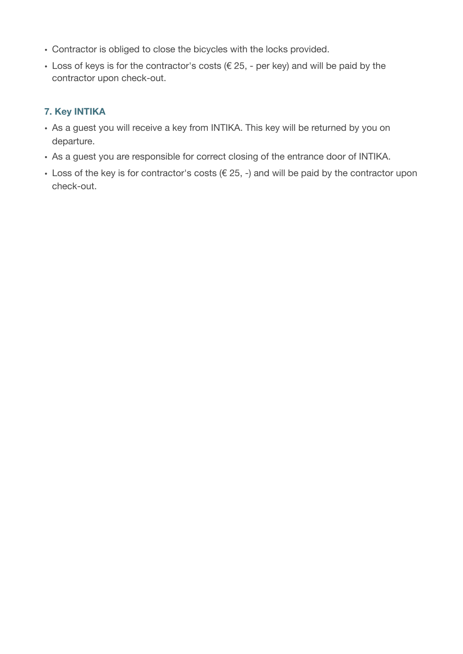- Contractor is obliged to close the bicycles with the locks provided.
- $\cdot$  Loss of keys is for the contractor's costs ( $\epsilon$  25, per key) and will be paid by the contractor upon check-out.

## **7. Key INTIKA**

- As a guest you will receive a key from INTIKA. This key will be returned by you on departure.
- As a guest you are responsible for correct closing of the entrance door of INTIKA.
- Loss of the key is for contractor's costs ( $\epsilon$  25, -) and will be paid by the contractor upon check-out.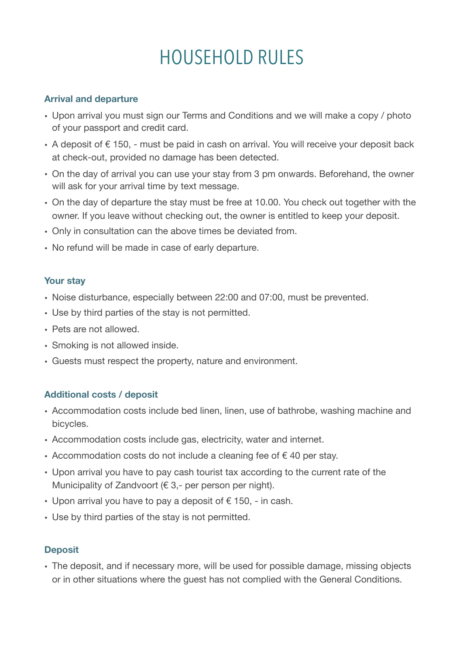# HOUSEHOLD RULES

#### **Arrival and departure**

- Upon arrival you must sign our Terms and Conditions and we will make a copy / photo of your passport and credit card.
- A deposit of € 150, must be paid in cash on arrival. You will receive your deposit back at check-out, provided no damage has been detected.
- On the day of arrival you can use your stay from 3 pm onwards. Beforehand, the owner will ask for your arrival time by text message.
- On the day of departure the stay must be free at 10.00. You check out together with the owner. If you leave without checking out, the owner is entitled to keep your deposit.
- Only in consultation can the above times be deviated from.
- No refund will be made in case of early departure.

#### **Your stay**

- Noise disturbance, especially between 22:00 and 07:00, must be prevented.
- Use by third parties of the stay is not permitted.
- Pets are not allowed.
- Smoking is not allowed inside.
- Guests must respect the property, nature and environment.

#### **Additional costs / deposit**

- Accommodation costs include bed linen, linen, use of bathrobe, washing machine and bicycles.
- Accommodation costs include gas, electricity, water and internet.
- Accommodation costs do not include a cleaning fee of  $\epsilon$  40 per stay.
- Upon arrival you have to pay cash tourist tax according to the current rate of the Municipality of Zandvoort ( $\epsilon$  3,- per person per night).
- Upon arrival you have to pay a deposit of  $\epsilon$  150, in cash.
- Use by third parties of the stay is not permitted.

#### **Deposit**

• The deposit, and if necessary more, will be used for possible damage, missing objects or in other situations where the guest has not complied with the General Conditions.